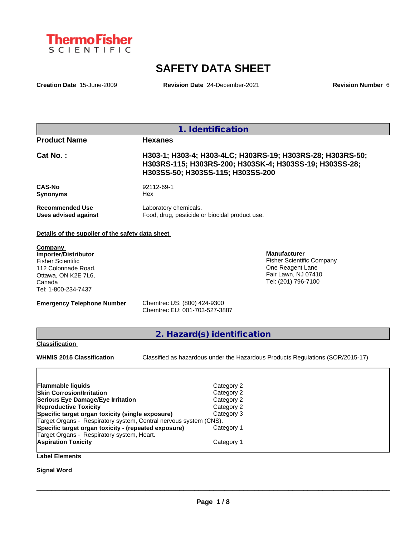

# **SAFETY DATA SHEET**

**Creation Date** 15-June-2009 **Revision Date** 24-December-2021 **Revision Number** 6

| 1. Identification                              |                                                                                                                                                            |  |  |  |
|------------------------------------------------|------------------------------------------------------------------------------------------------------------------------------------------------------------|--|--|--|
| <b>Product Name</b>                            | <b>Hexanes</b>                                                                                                                                             |  |  |  |
| $Cat No.$ :                                    | H303-1; H303-4; H303-4LC; H303RS-19; H303RS-28; H303RS-50;<br>H303RS-115; H303RS-200; H303SK-4; H303SS-19; H303SS-28;<br>H303SS-50; H303SS-115; H303SS-200 |  |  |  |
| <b>CAS-No</b><br><b>Synonyms</b>               | 92112-69-1<br>Hex                                                                                                                                          |  |  |  |
| <b>Recommended Use</b><br>Uses advised against | Laboratory chemicals.<br>Food, drug, pesticide or biocidal product use.                                                                                    |  |  |  |

# **Details of the supplier of the safety data sheet**

**Company Importer/Distributor** Fisher Scientific 112 Colonnade Road, Ottawa, ON K2E 7L6, Canada Tel: 1-800-234-7437

**Manufacturer** Fisher Scientific Company One Reagent Lane Fair Lawn, NJ 07410 Tel: (201) 796-7100

**Emergency Telephone Number** Chemtrec US: (800) 424-9300

Chemtrec EU: 001-703-527-3887

**2. Hazard(s) identification**

#### **Classification**

**WHMIS 2015 Classification** Classified as hazardous under the Hazardous Products Regulations (SOR/2015-17)

 $\_$  ,  $\_$  ,  $\_$  ,  $\_$  ,  $\_$  ,  $\_$  ,  $\_$  ,  $\_$  ,  $\_$  ,  $\_$  ,  $\_$  ,  $\_$  ,  $\_$  ,  $\_$  ,  $\_$  ,  $\_$  ,  $\_$  ,  $\_$  ,  $\_$  ,  $\_$  ,  $\_$  ,  $\_$  ,  $\_$  ,  $\_$  ,  $\_$  ,  $\_$  ,  $\_$  ,  $\_$  ,  $\_$  ,  $\_$  ,  $\_$  ,  $\_$  ,  $\_$  ,  $\_$  ,  $\_$  ,  $\_$  ,  $\_$  ,

| Flammable liquids                                                 | Category 2 |
|-------------------------------------------------------------------|------------|
| <b>Skin Corrosion/Irritation</b>                                  | Category 2 |
| Serious Eye Damage/Eye Irritation                                 | Category 2 |
| <b>Reproductive Toxicity</b>                                      | Category 2 |
| Specific target organ toxicity (single exposure)                  | Category 3 |
| Target Organs - Respiratory system, Central nervous system (CNS). |            |
| Specific target organ toxicity - (repeated exposure)              | Category 1 |
| Target Organs - Respiratory system, Heart.                        |            |
| <b>Aspiration Toxicity</b>                                        | Category 1 |
|                                                                   |            |

**Label Elements**

**Signal Word**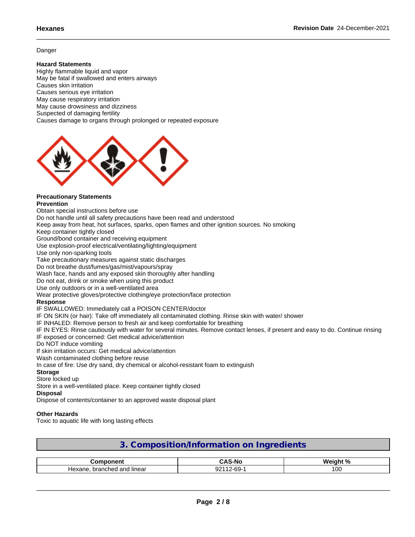# **Danger**

# **Hazard Statements**

Highly flammable liquid and vapor May be fatal if swallowed and enters airways Causes skin irritation Causes serious eye irritation May cause respiratory irritation May cause drowsiness and dizziness Suspected of damaging fertility Causes damage to organs through prolonged or repeated exposure



#### **Precautionary Statements Prevention**

Obtain special instructions before use

Do not handle until all safety precautions have been read and understood

Keep away from heat, hot surfaces, sparks, open flames and other ignition sources. No smoking

Keep container tightly closed

Ground/bond container and receiving equipment

Use explosion-proof electrical/ventilating/lighting/equipment

Use only non-sparking tools

Take precautionary measures against static discharges

Do not breathe dust/fumes/gas/mist/vapours/spray

Wash face, hands and any exposed skin thoroughly after handling

Do not eat, drink or smoke when using this product

Use only outdoors or in a well-ventilated area

Wear protective gloves/protective clothing/eye protection/face protection

### **Response**

IF SWALLOWED: Immediately call a POISON CENTER/doctor

IF ON SKIN (or hair): Take off immediately all contaminated clothing. Rinse skin with water/ shower

IF INHALED: Remove person to fresh air and keep comfortable for breathing

IF IN EYES: Rinse cautiously with water for several minutes. Remove contact lenses, if present and easy to do. Continue rinsing IF exposed or concerned: Get medical advice/attention

Do NOT induce vomiting

If skin irritation occurs: Get medical advice/attention

Wash contaminated clothing before reuse

In case of fire: Use dry sand, dry chemical or alcohol-resistant foam to extinguish

## **Storage**

Store locked up

Store in a well-ventilated place. Keep container tightly closed

### **Disposal**

Dispose of contents/container to an approved waste disposal plant

## **Other Hazards**

Toxic to aquatic life with long lasting effects

# **3. Composition/Information on Ingredients**

| ∩mn∩nent<br>nmno                            | $\ddot{\phantom{1}}$<br>тn.<br>$-M2$<br>∽<br>. . | $M$ aight %<br> |
|---------------------------------------------|--------------------------------------------------|-----------------|
| and<br>linear<br>. branched<br>⊣exane<br>ю. | $\sim$<br>ົດດະ<br>. .<br>ບສ<br>JZ                | $\sim$<br>vu    |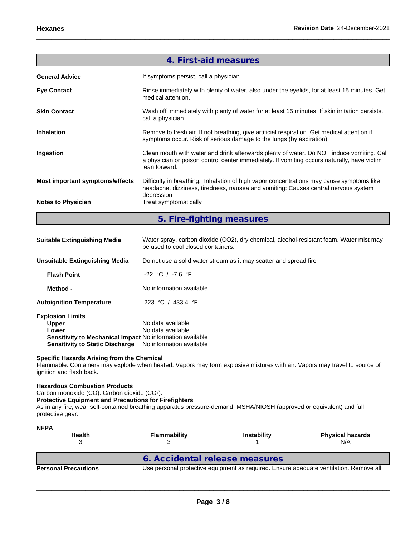|                                                                                                                                                                         | 4. First-aid measures                                                                                                                                                                                     |
|-------------------------------------------------------------------------------------------------------------------------------------------------------------------------|-----------------------------------------------------------------------------------------------------------------------------------------------------------------------------------------------------------|
| <b>General Advice</b>                                                                                                                                                   | If symptoms persist, call a physician.                                                                                                                                                                    |
| <b>Eye Contact</b>                                                                                                                                                      | Rinse immediately with plenty of water, also under the eyelids, for at least 15 minutes. Get<br>medical attention.                                                                                        |
| <b>Skin Contact</b>                                                                                                                                                     | Wash off immediately with plenty of water for at least 15 minutes. If skin irritation persists,<br>call a physician.                                                                                      |
| <b>Inhalation</b>                                                                                                                                                       | Remove to fresh air. If not breathing, give artificial respiration. Get medical attention if<br>symptoms occur. Risk of serious damage to the lungs (by aspiration).                                      |
| Ingestion                                                                                                                                                               | Clean mouth with water and drink afterwards plenty of water. Do NOT induce vomiting. Call<br>a physician or poison control center immediately. If vomiting occurs naturally, have victim<br>lean forward. |
| Most important symptoms/effects                                                                                                                                         | Difficulty in breathing. Inhalation of high vapor concentrations may cause symptoms like<br>headache, dizziness, tiredness, nausea and vomiting: Causes central nervous system<br>depression              |
| <b>Notes to Physician</b>                                                                                                                                               | Treat symptomatically                                                                                                                                                                                     |
|                                                                                                                                                                         | 5. Fire-fighting measures                                                                                                                                                                                 |
| <b>Suitable Extinguishing Media</b>                                                                                                                                     | Water spray, carbon dioxide (CO2), dry chemical, alcohol-resistant foam. Water mist may<br>be used to cool closed containers.                                                                             |
| <b>Unsuitable Extinguishing Media</b>                                                                                                                                   | Do not use a solid water stream as it may scatter and spread fire                                                                                                                                         |
| <b>Flash Point</b>                                                                                                                                                      | -22 °C / -7.6 °F                                                                                                                                                                                          |
| Method -                                                                                                                                                                | No information available                                                                                                                                                                                  |
| <b>Autoignition Temperature</b>                                                                                                                                         | 223 °C / 433.4 °F                                                                                                                                                                                         |
| <b>Explosion Limits</b><br><b>Upper</b><br>Lower<br>Sensitivity to Mechanical Impact No information available<br><b>Sensitivity to Static Discharge</b>                 | No data available<br>No data available<br>No information available                                                                                                                                        |
| Specific Hazards Arising from the Chemical<br>ignition and flash back.                                                                                                  | Flammable. Containers may explode when heated. Vapors may form explosive mixtures with air. Vapors may travel to source of                                                                                |
| <b>Hazardous Combustion Products</b><br>Carbon monoxide (CO). Carbon dioxide (CO2).<br><b>Protective Equipment and Precautions for Firefighters</b><br>protective gear. | As in any fire, wear self-contained breathing apparatus pressure-demand, MSHA/NIOSH (approved or equivalent) and full                                                                                     |

| <u>NFPA</u><br><b>Health</b> | <b>Flammability</b>            |  | <b>Physical hazards</b><br>N/A                                                         |
|------------------------------|--------------------------------|--|----------------------------------------------------------------------------------------|
|                              | 6. Accidental release measures |  |                                                                                        |
| <b>Personal Precautions</b>  |                                |  | Use personal protective equipment as required. Ensure adequate ventilation. Remove all |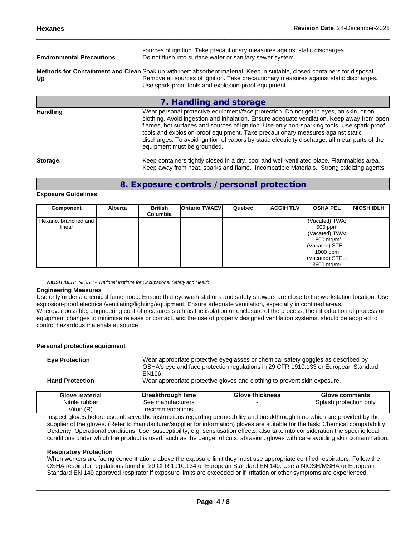| <b>Environmental Precautions</b> | sources of ignition. Take precautionary measures against static discharges.<br>Do not flush into surface water or sanitary sewer system.                                                                                                                                                                                                                              |  |
|----------------------------------|-----------------------------------------------------------------------------------------------------------------------------------------------------------------------------------------------------------------------------------------------------------------------------------------------------------------------------------------------------------------------|--|
| Up                               | Methods for Containment and Clean Soak up with inert absorbent material. Keep in suitable, closed containers for disposal.<br>Remove all sources of ignition. Take precautionary measures against static discharges.<br>Use spark-proof tools and explosion-proof equipment.                                                                                          |  |
|                                  | 7. Handling and storage                                                                                                                                                                                                                                                                                                                                               |  |
| <b>Handling</b>                  | Wear personal protective equipment/face protection. Do not get in eyes, on skin, or on<br>clothing. Avoid ingestion and inhalation. Ensure adequate ventilation. Keep away from open<br>flames, hot surfaces and sources of ignition. Use only non-sparking tools. Use spark-proof<br>tools and explosion-proof equipment. Take precautionary measures against static |  |

Storage. **Keep containers tightly closed in a dry, cool and well-ventilated place. Flammables area.** Keep away from heat, sparks and flame. Incompatible Materials. Strong oxidizing agents.

discharges. To avoid ignition of vapors by static electricity discharge, all metal parts of the

# **8. Exposure controls / personal protection**

equipment must be grounded.

### **Exposure Guidelines**

| Component              | <b>Alberta</b> | <b>British</b><br>Columbia | <b>Ontario TWAEVI</b> | Quebec | <b>ACGIH TLV</b> | <b>OSHA PEL</b>        | <b>NIOSH IDLH</b> |
|------------------------|----------------|----------------------------|-----------------------|--------|------------------|------------------------|-------------------|
| Hexane, branched and I |                |                            |                       |        |                  | Vacated) TWA:          |                   |
| linear                 |                |                            |                       |        |                  | 500 ppm                |                   |
|                        |                |                            |                       |        |                  | (Vacated) TWA:         |                   |
|                        |                |                            |                       |        |                  | 1800 mg/m <sup>3</sup> |                   |
|                        |                |                            |                       |        |                  | (Vacated) STEL:        |                   |
|                        |                |                            |                       |        |                  | $1000$ ppm             |                   |
|                        |                |                            |                       |        |                  | (Vacated) STEL:        |                   |
|                        |                |                            |                       |        |                  | 3600 mg/m <sup>3</sup> |                   |

*NIOSH IDLH: NIOSH - National Institute for Occupational Safety and Health*

## **Engineering Measures**

Use only under a chemical fume hood. Ensure that eyewash stations and safety showers are close to the workstation location. Use explosion-proof electrical/ventilating/lighting/equipment. Ensure adequate ventilation, especially in confined areas. Wherever possible, engineering control measures such as the isolation or enclosure of the process, the introduction of process or equipment changes to minimise release or contact, and the use of properly designed ventilation systems, should be adopted to control hazardous materials at source

## **Personal protective equipment**

| <b>Eye Protection</b>  | EN166.                   | Wear appropriate protective eyeglasses or chemical safety goggles as described by | OSHA's eye and face protection regulations in 29 CFR 1910.133 or European Standard |
|------------------------|--------------------------|-----------------------------------------------------------------------------------|------------------------------------------------------------------------------------|
| <b>Hand Protection</b> |                          | Wear appropriate protective gloves and clothing to prevent skin exposure.         |                                                                                    |
| Glove material         | <b>Breakthrough time</b> | <b>Glove thickness</b>                                                            | Glove comments                                                                     |
| Nitrile rubber         | See manufacturers        |                                                                                   | Splash protection only                                                             |
| Viton $(R)$            | recommendations          |                                                                                   |                                                                                    |

Inspect gloves before use. observe the instructions regarding permeability and breakthrough time which are provided by the supplier of the gloves. (Refer to manufacturer/supplier for information) gloves are suitable for the task: Chemical compatability, Dexterity, Operational conditions, User susceptibility, e.g. sensitisation effects, also take into consideration the specific local conditions under which the product is used, such as the danger of cuts, abrasion. gloves with care avoiding skin contamination.

### **Respiratory Protection**

When workers are facing concentrations above the exposure limit they must use appropriate certified respirators. Follow the OSHA respirator regulations found in 29 CFR 1910.134 or European Standard EN 149. Use a NIOSH/MSHA or European Standard EN 149 approved respirator if exposure limits are exceeded or if irritation or other symptoms are experienced.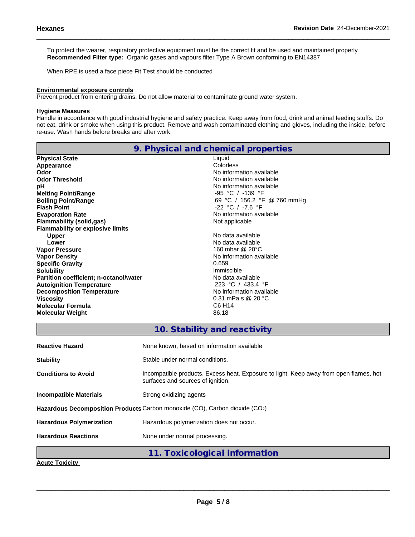To protect the wearer, respiratory protective equipment must be the correct fit and be used and maintained properly **Recommended Filter type:** Organic gases and vapours filter Type A Brown conforming to EN14387

When RPE is used a face piece Fit Test should be conducted

### **Environmental exposure controls**

Prevent product from entering drains. Do not allow material to contaminate ground water system.

# **Hygiene Measures**

Handle in accordance with good industrial hygiene and safety practice. Keep away from food, drink and animal feeding stuffs. Do not eat, drink or smoke when using this product. Remove and wash contaminated clothing and gloves, including the inside, before re-use. Wash hands before breaks and after work.

|                                         | 9. Physical and chemical properties |
|-----------------------------------------|-------------------------------------|
| <b>Physical State</b>                   | Liquid                              |
| Appearance                              | Colorless                           |
| Odor                                    | No information available            |
| <b>Odor Threshold</b>                   | No information available            |
| pH                                      | No information available            |
| <b>Melting Point/Range</b>              | $-95$ °C / $-139$ °F                |
| <b>Boiling Point/Range</b>              | 69 °C / 156.2 °F @ 760 mmHg         |
| <b>Flash Point</b>                      | $-22$ °C / $-7.6$ °F                |
| <b>Evaporation Rate</b>                 | No information available            |
| Flammability (solid,gas)                | Not applicable                      |
| <b>Flammability or explosive limits</b> |                                     |
| <b>Upper</b>                            | No data available                   |
| Lower                                   | No data available                   |
| <b>Vapor Pressure</b>                   | 160 mbar @ 20°C                     |
| <b>Vapor Density</b>                    | No information available            |
| <b>Specific Gravity</b>                 | 0.659                               |
| <b>Solubility</b>                       | Immiscible                          |
| Partition coefficient; n-octanol/water  | No data available                   |
| <b>Autoignition Temperature</b>         | 223 °C / 433.4 °F                   |
| <b>Decomposition Temperature</b>        | No information available            |
| <b>Viscosity</b>                        | 0.31 mPa s @ 20 °C                  |
| <b>Molecular Formula</b>                | C6 H <sub>14</sub>                  |
| <b>Molecular Weight</b>                 | 86.18                               |
|                                         |                                     |

# **10. Stability and reactivity**

| <b>Reactive Hazard</b>          | None known, based on information available                                                                                  |
|---------------------------------|-----------------------------------------------------------------------------------------------------------------------------|
| <b>Stability</b>                | Stable under normal conditions.                                                                                             |
| <b>Conditions to Avoid</b>      | Incompatible products. Excess heat. Exposure to light. Keep away from open flames, hot<br>surfaces and sources of ignition. |
| Incompatible Materials          | Strong oxidizing agents                                                                                                     |
|                                 | Hazardous Decomposition Products Carbon monoxide (CO), Carbon dioxide (CO2)                                                 |
| <b>Hazardous Polymerization</b> | Hazardous polymerization does not occur.                                                                                    |
| <b>Hazardous Reactions</b>      | None under normal processing.                                                                                               |
|                                 | 11. Toxicological information                                                                                               |
| Acute Tovicity                  |                                                                                                                             |

**Acute Toxicity**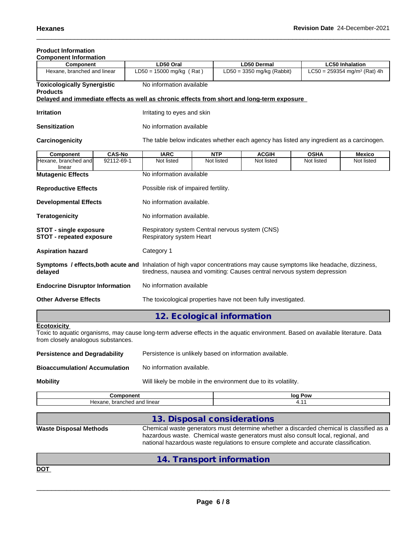# **Product Information**

| <b>Component Information</b>                                       |                              |                                                                                            |                                                                                                                                                                  |                                                                                          |             |                                            |  |
|--------------------------------------------------------------------|------------------------------|--------------------------------------------------------------------------------------------|------------------------------------------------------------------------------------------------------------------------------------------------------------------|------------------------------------------------------------------------------------------|-------------|--------------------------------------------|--|
| Component                                                          |                              | LD50 Oral                                                                                  |                                                                                                                                                                  | <b>LD50 Dermal</b>                                                                       |             | <b>LC50 Inhalation</b>                     |  |
| Hexane, branched and linear                                        |                              | $LD50 = 15000$ mg/kg (Rat)                                                                 |                                                                                                                                                                  | $LD50 = 3350$ mg/kg (Rabbit)                                                             |             | $LC50 = 259354$ mg/m <sup>3</sup> (Rat) 4h |  |
| <b>Toxicologically Synergistic</b>                                 |                              | No information available                                                                   |                                                                                                                                                                  |                                                                                          |             |                                            |  |
| <b>Products</b>                                                    |                              |                                                                                            |                                                                                                                                                                  |                                                                                          |             |                                            |  |
|                                                                    |                              | Delayed and immediate effects as well as chronic effects from short and long-term exposure |                                                                                                                                                                  |                                                                                          |             |                                            |  |
| <b>Irritation</b>                                                  |                              | Irritating to eyes and skin                                                                |                                                                                                                                                                  |                                                                                          |             |                                            |  |
| <b>Sensitization</b>                                               |                              | No information available                                                                   |                                                                                                                                                                  |                                                                                          |             |                                            |  |
| Carcinogenicity                                                    |                              |                                                                                            |                                                                                                                                                                  | The table below indicates whether each agency has listed any ingredient as a carcinogen. |             |                                            |  |
| <b>Component</b>                                                   | <b>CAS-No</b>                | <b>IARC</b>                                                                                | <b>NTP</b>                                                                                                                                                       | <b>ACGIH</b>                                                                             | <b>OSHA</b> | <b>Mexico</b>                              |  |
| Hexane, branched and<br>linear                                     | 92112-69-1                   | Not listed                                                                                 | Not listed                                                                                                                                                       | Not listed                                                                               | Not listed  | Not listed                                 |  |
| <b>Mutagenic Effects</b>                                           |                              |                                                                                            | No information available                                                                                                                                         |                                                                                          |             |                                            |  |
| <b>Reproductive Effects</b>                                        |                              |                                                                                            | Possible risk of impaired fertility.                                                                                                                             |                                                                                          |             |                                            |  |
| <b>Developmental Effects</b>                                       |                              |                                                                                            | No information available.                                                                                                                                        |                                                                                          |             |                                            |  |
| <b>Teratogenicity</b>                                              |                              |                                                                                            | No information available.                                                                                                                                        |                                                                                          |             |                                            |  |
| <b>STOT - single exposure</b><br><b>STOT - repeated exposure</b>   |                              |                                                                                            | Respiratory system Central nervous system (CNS)<br>Respiratory system Heart                                                                                      |                                                                                          |             |                                            |  |
| <b>Aspiration hazard</b>                                           |                              | Category 1                                                                                 |                                                                                                                                                                  |                                                                                          |             |                                            |  |
| Symptoms / effects, both acute and<br>delayed                      |                              |                                                                                            | Inhalation of high vapor concentrations may cause symptoms like headache, dizziness,<br>tiredness, nausea and vomiting: Causes central nervous system depression |                                                                                          |             |                                            |  |
| No information available<br><b>Endocrine Disruptor Information</b> |                              |                                                                                            |                                                                                                                                                                  |                                                                                          |             |                                            |  |
|                                                                    | <b>Other Adverse Effects</b> |                                                                                            | The toxicological properties have not been fully investigated.                                                                                                   |                                                                                          |             |                                            |  |

# **12. Ecological information**

# **Ecotoxicity**

Toxic to aquatic organisms, may cause long-term adverse effects in the aquatic environment. Based on available literature. Data from closely analogous substances.

| Persistence and Degradability | Persistence is unlikely based on information available. |
|-------------------------------|---------------------------------------------------------|
| Bioaccumulation/ Accumulation | No information available.                               |

**Mobility** Mobility **Mobility** Will likely be mobile in the environment due to its volatility.

| $  -$<br>---<br>лг            | loa<br>Pow |
|-------------------------------|------------|
| I and linear<br>неха<br>ncneo |            |

# **13. Disposal considerations**

**Waste Disposal Methods** Chemical waste generators must determine whether a discarded chemical is classified as a hazardous waste. Chemical waste generators must also consult local, regional, and national hazardous waste regulations to ensure complete and accurate classification.

|            | 14. Transport information |  |
|------------|---------------------------|--|
| <b>DOT</b> |                           |  |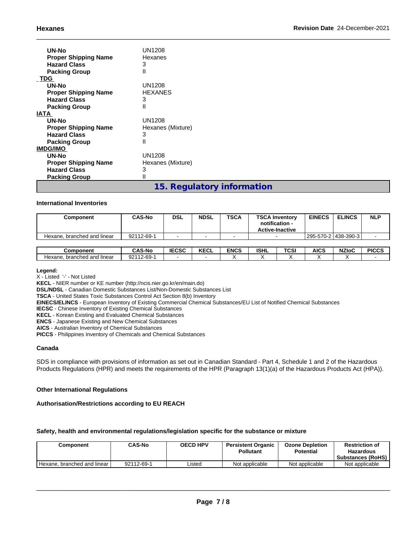| UN-No<br><b>Proper Shipping Name</b><br><b>Hazard Class</b><br><b>Packing Group</b> | UN1208<br>Hexanes<br>3<br>Ш |
|-------------------------------------------------------------------------------------|-----------------------------|
| <b>TDG</b>                                                                          |                             |
| UN-No                                                                               | UN1208                      |
| <b>Proper Shipping Name</b>                                                         | <b>HEXANES</b>              |
| <b>Hazard Class</b>                                                                 | 3                           |
| <b>Packing Group</b>                                                                | Ш                           |
| <b>IATA</b>                                                                         |                             |
| UN-No                                                                               | <b>UN1208</b>               |
| <b>Proper Shipping Name</b>                                                         | Hexanes (Mixture)           |
| <b>Hazard Class</b>                                                                 | 3                           |
| <b>Packing Group</b>                                                                | Ш                           |
| <b>IMDG/IMO</b>                                                                     |                             |
| UN-No                                                                               | UN1208                      |
| <b>Proper Shipping Name</b>                                                         | Hexanes (Mixture)           |
| <b>Hazard Class</b>                                                                 | 3                           |
| <b>Packing Group</b>                                                                | $\mathsf{II}$               |
|                                                                                     | 15. Regulatory information  |

### **International Inventories**

| Component                   | <b>CAS-No</b> | <b>DSL</b>   | <b>NDSL</b> | <b>TSCA</b> |             | <b>TSCA Inventory</b><br>notification -<br><b>Active-Inactive</b> | <b>EINECS</b> | <b>ELINCS</b>         | <b>NLP</b>   |
|-----------------------------|---------------|--------------|-------------|-------------|-------------|-------------------------------------------------------------------|---------------|-----------------------|--------------|
| Hexane, branched and linear | 92112-69-1    |              |             |             |             |                                                                   |               | 295-570-2   438-390-3 |              |
|                             |               |              |             |             |             |                                                                   |               |                       |              |
| Component                   | <b>CAS-No</b> | <b>IECSC</b> | <b>KECL</b> | <b>ENCS</b> | <b>ISHL</b> | TCSI                                                              | AICS          | <b>NZIoC</b>          | <b>PICCS</b> |

#### **Legend:**

X - Listed '-' - Not Listed

**KECL** - NIER number or KE number (http://ncis.nier.go.kr/en/main.do)

**DSL/NDSL** - Canadian Domestic Substances List/Non-Domestic Substances List

**TSCA** - United States Toxic Substances Control Act Section 8(b) Inventory

**EINECS/ELINCS** - European Inventory of Existing Commercial Chemical Substances/EU List of Notified Chemical Substances

Hexane, branched and linear | 92112-69-1 |  $\cdot$  |  $\cdot$  |  $\cdot$  |  $\cdot$  |  $\cdot$  |  $\cdot$  |  $\cdot$  |  $\cdot$  |  $\cdot$  |  $\cdot$  |  $\cdot$  |  $\cdot$  |  $\cdot$  |  $\cdot$  |  $\cdot$  |  $\cdot$  |  $\cdot$  |  $\cdot$  |  $\cdot$  |  $\cdot$  |  $\cdot$  |  $\cdot$  |  $\cdot$  |  $\cdot$  |  $\cdot$  |  $\cdot$ 

**IECSC** - Chinese Inventory of Existing Chemical Substances

**KECL** - Korean Existing and Evaluated Chemical Substances

**ENCS** - Japanese Existing and New Chemical Substances

**AICS** - Australian Inventory of Chemical Substances

**PICCS** - Philippines Inventory of Chemicals and Chemical Substances

### **Canada**

SDS in compliance with provisions of information as set out in Canadian Standard - Part 4, Schedule 1 and 2 of the Hazardous Products Regulations (HPR) and meets the requirements of the HPR (Paragraph 13(1)(a) of the Hazardous Products Act (HPA)).

#### **Other International Regulations**

**Authorisation/Restrictions according to EU REACH**

### **Safety, health and environmental regulations/legislation specific for the substance or mixture**

| Component                     | <b>CAS-No</b> | <b>OECD HPV</b> | <b>Persistent Organic</b><br><b>Pollutant</b> | <b>Ozone Depletion</b><br><b>Potential</b> | <b>Restriction of</b><br><b>Hazardous</b><br><b>Substances (RoHS)</b> |
|-------------------------------|---------------|-----------------|-----------------------------------------------|--------------------------------------------|-----------------------------------------------------------------------|
| Hexane, branched and linear I | 92112-69-1    | Listed          | Not applicable                                | Not applicable                             | Not applicable                                                        |